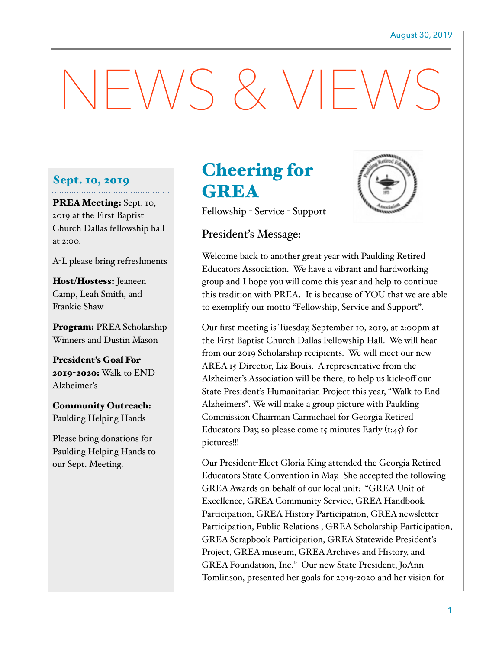# NEWS & VIEWS

#### Sept. 10, 2019

PREA Meeting: Sept. 10, 2019 at the First Baptist Church Dallas fellowship hall at 2:00.

A-L please bring refreshments

Host/Hostess: Jeaneen Camp, Leah Smith, and Frankie Shaw

Program: PREA Scholarship Winners and Dustin Mason

President's Goal For 2019-2020: Walk to END Alzheimer's

Community Outreach: Paulding Helping Hands

Please bring donations for Paulding Helping Hands to our Sept. Meeting.

## Cheering for GREA



Fellowship - Service - Support

### President's Message:

Welcome back to another great year with Paulding Retired Educators Association. We have a vibrant and hardworking group and I hope you will come this year and help to continue this tradition with PREA. It is because of YOU that we are able to exemplify our motto "Fellowship, Service and Support".

Our first meeting is Tuesday, September 10, 2019, at 2:00pm at the First Baptist Church Dallas Fellowship Hall. We will hear from our 2019 Scholarship recipients. We will meet our new AREA 15 Director, Liz Bouis. A representative from the Alzheimer's Association will be there, to help us kick-off our State President's Humanitarian Project this year, "Walk to End Alzheimers". We will make a group picture with Paulding Commission Chairman Carmichael for Georgia Retired Educators Day, so please come 15 minutes Early  $(i:45)$  for pictures!!!

Our President-Elect Gloria King attended the Georgia Retired Educators State Convention in May. She accepted the following GREA Awards on behalf of our local unit: "GREA Unit of Excellence, GREA Community Service, GREA Handbook Participation, GREA History Participation, GREA newsletter Participation, Public Relations , GREA Scholarship Participation, GREA Scrapbook Participation, GREA Statewide President's Project, GREA museum, GREA Archives and History, and GREA Foundation, Inc." Our new State President, JoAnn Tomlinson, presented her goals for 2019-2020 and her vision for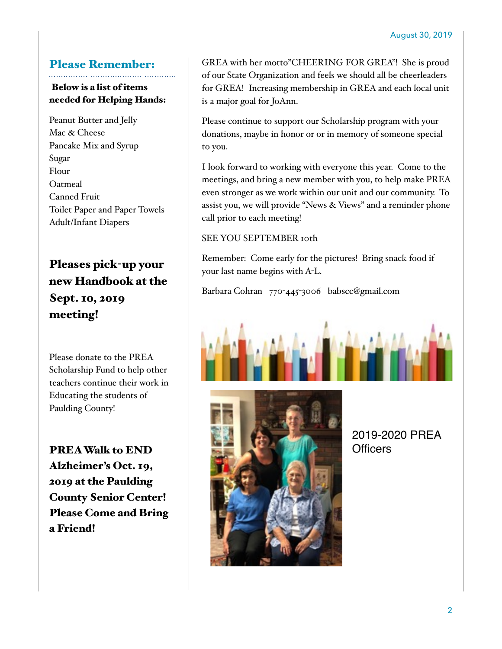## Please Remember:

## Below is a list of items needed for Helping Hands:

Peanut Butter and Jelly Mac & Cheese Pancake Mix and Syrup Sugar Flour Oatmeal Canned Fruit Toilet Paper and Paper Towels Adult/Infant Diapers

## Pleases pick-up your new Handbook at the Sept. 10, 2019 meeting!

Please donate to the PREA Scholarship Fund to help other teachers continue their work in Educating the students of Paulding County!

PREA Walk to END Alzheimer's Oct. 19, 2019 at the Paulding County Senior Center! Please Come and Bring a Friend!

GREA with her motto"CHEERING FOR GREA"! She is proud of our State Organization and feels we should all be cheerleaders for GREA! Increasing membership in GREA and each local unit is a major goal for JoAnn.

Please continue to support our Scholarship program with your donations, maybe in honor or or in memory of someone special to you.

I look forward to working with everyone this year. Come to the meetings, and bring a new member with you, to help make PREA even stronger as we work within our unit and our community. To assist you, we will provide "News & Views" and a reminder phone call prior to each meeting!

#### SEE YOU SEPTEMBER 10th

Remember: Come early for the pictures! Bring snack food if your last name begins with A-L.

Barbara Cohran 770-445-3006 babscc@gmail.com





2019-2020 PREA **Officers**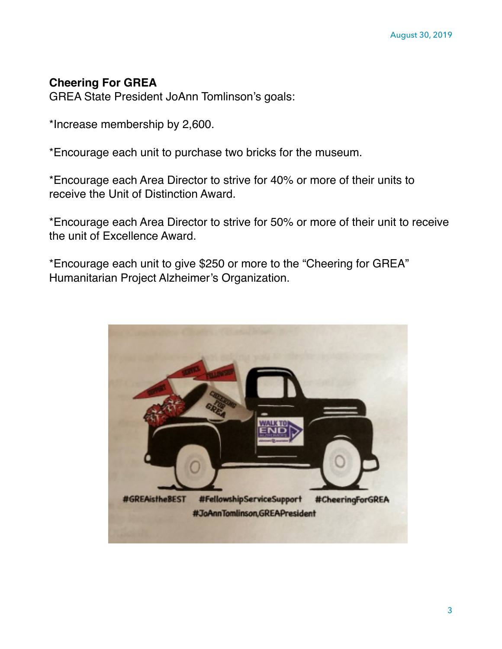## **Cheering For GREA**

GREA State President JoAnn Tomlinson's goals:

\*Increase membership by 2,600.

\*Encourage each unit to purchase two bricks for the museum.

\*Encourage each Area Director to strive for 40% or more of their units to receive the Unit of Distinction Award.

\*Encourage each Area Director to strive for 50% or more of their unit to receive the unit of Excellence Award.

\*Encourage each unit to give \$250 or more to the "Cheering for GREA" Humanitarian Project Alzheimer's Organization.

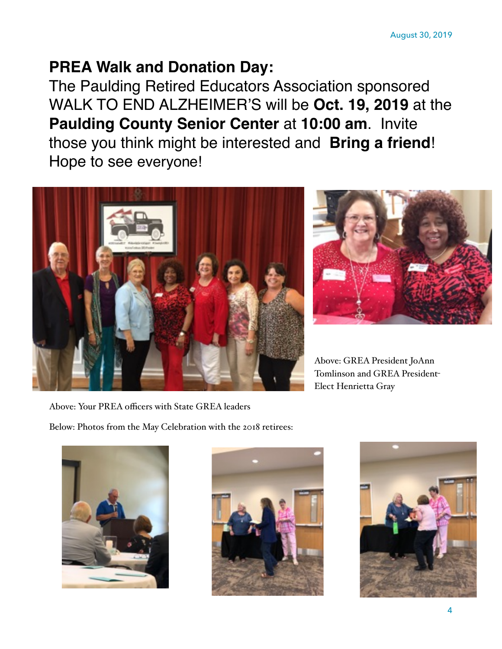## **PREA Walk and Donation Day:**

The Paulding Retired Educators Association sponsored WALK TO END ALZHEIMER'S will be **Oct. 19, 2019** at the **Paulding County Senior Center** at **10:00 am**. Invite those you think might be interested and **Bring a friend**! Hope to see everyone!





Above: GREA President JoAnn Tomlinson and GREA President-Elect Henrietta Gray

Above: Your PREA officers with State GREA leaders

Below: Photos from the May Celebration with the 2018 retirees: